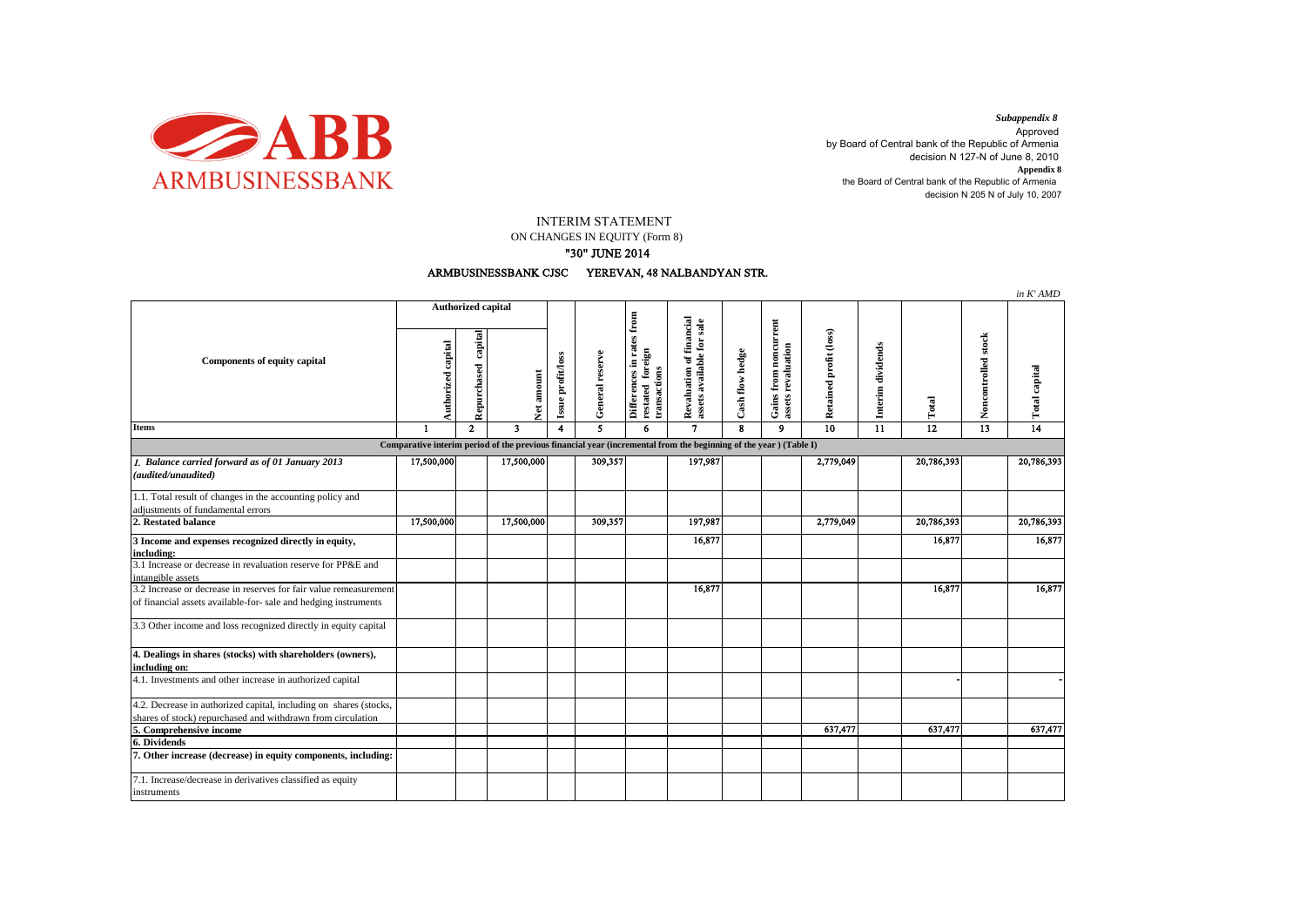

decision N 205 N of July 10, 2007 *Subappendix 8*  Approved by Board of Central bank of the Republic of Armenia decision N 127-N of June 8, 2010 **Appendix 8** the Board of Central bank of the Republic of Armenia

INTERIM STATEMENT

ON CHANGES IN EQUITY (Form 8)

## "30" JUNE 2014



|                                                                                                                                      |                           |                        |                         |                                 |                 |                                                                  |                                                       |                 |                                             |                        |                   |                 |                     | in K' AMD       |
|--------------------------------------------------------------------------------------------------------------------------------------|---------------------------|------------------------|-------------------------|---------------------------------|-----------------|------------------------------------------------------------------|-------------------------------------------------------|-----------------|---------------------------------------------|------------------------|-------------------|-----------------|---------------------|-----------------|
| <b>Components of equity capital</b>                                                                                                  | <b>Authorized capital</b> |                        |                         |                                 |                 |                                                                  |                                                       |                 |                                             |                        |                   |                 |                     |                 |
|                                                                                                                                      | Authorized capital        | capital<br>Repurchased |                         | Issue profit/loss<br>Net amount | General reserve | Differences in rates from<br>foreign<br>transactions<br>restated | Revaluation of financial<br>assets available for sale | Cash flow hedge | Gains from noncurrent<br>assets revaluation | Retained profit (loss) | Interim dividends | Total           | Noncontrolled stock | Total capital   |
| Items                                                                                                                                | $\blacksquare$            | $\mathbf{2}$           | $\overline{\mathbf{3}}$ | 4                               | 5               | 6                                                                | $\mathbf{7}$                                          | 8               | 9                                           | $\overline{10}$        | 11                | $\overline{12}$ | 13                  | $\overline{14}$ |
| Comparative interim period of the previous financial year (incremental from the beginning of the year) (Table I)                     |                           |                        |                         |                                 |                 |                                                                  |                                                       |                 |                                             |                        |                   |                 |                     |                 |
| 1. Balance carried forward as of 01 January 2013<br>(audited/unaudited)                                                              | 17,500,000                |                        | 17,500,000              |                                 | 309,357         |                                                                  | 197,987                                               |                 |                                             | 2,779,049              |                   | 20,786,393      |                     | 20,786,393      |
| 1.1. Total result of changes in the accounting policy and<br>adiustments of fundamental errors                                       |                           |                        |                         |                                 |                 |                                                                  |                                                       |                 |                                             |                        |                   |                 |                     |                 |
| 2. Restated balance                                                                                                                  | 17,500,000                |                        | 17,500,000              |                                 | 309,357         |                                                                  | 197,987                                               |                 |                                             | 2,779,049              |                   | 20,786,393      |                     | 20,786,393      |
| 3 Income and expenses recognized directly in equity,<br>including:                                                                   |                           |                        |                         |                                 |                 |                                                                  | 16,877                                                |                 |                                             |                        |                   | 16,877          |                     | 16,877          |
| 3.1 Increase or decrease in revaluation reserve for PP&E and<br>intangible assets                                                    |                           |                        |                         |                                 |                 |                                                                  |                                                       |                 |                                             |                        |                   |                 |                     |                 |
| 3.2 Increase or decrease in reserves for fair value remeasurement<br>of financial assets available-for- sale and hedging instruments |                           |                        |                         |                                 |                 |                                                                  | 16,877                                                |                 |                                             |                        |                   | 16,877          |                     | 16,877          |
| 3.3 Other income and loss recognized directly in equity capital                                                                      |                           |                        |                         |                                 |                 |                                                                  |                                                       |                 |                                             |                        |                   |                 |                     |                 |
| 4. Dealings in shares (stocks) with shareholders (owners),<br>including on:                                                          |                           |                        |                         |                                 |                 |                                                                  |                                                       |                 |                                             |                        |                   |                 |                     |                 |
| 4.1. Investments and other increase in authorized capital                                                                            |                           |                        |                         |                                 |                 |                                                                  |                                                       |                 |                                             |                        |                   |                 |                     |                 |
| 4.2. Decrease in authorized capital, including on shares (stocks,<br>shares of stock) repurchased and withdrawn from circulation     |                           |                        |                         |                                 |                 |                                                                  |                                                       |                 |                                             |                        |                   |                 |                     |                 |
| 5. Comprehensive income                                                                                                              |                           |                        |                         |                                 |                 |                                                                  |                                                       |                 |                                             | 637,477                |                   | 637,477         |                     | 637,477         |
| 6. Dividends                                                                                                                         |                           |                        |                         |                                 |                 |                                                                  |                                                       |                 |                                             |                        |                   |                 |                     |                 |
| 7. Other increase (decrease) in equity components, including:                                                                        |                           |                        |                         |                                 |                 |                                                                  |                                                       |                 |                                             |                        |                   |                 |                     |                 |
| 7.1. Increase/decrease in derivatives classified as equity<br>instruments                                                            |                           |                        |                         |                                 |                 |                                                                  |                                                       |                 |                                             |                        |                   |                 |                     |                 |